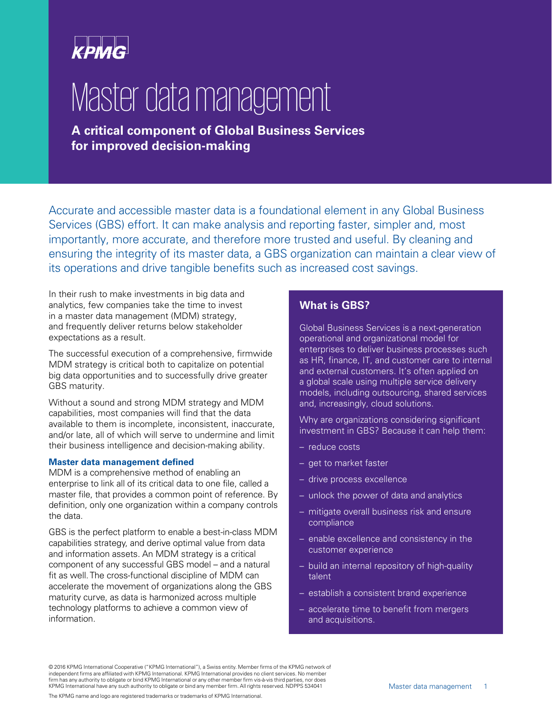

# Master data management

**A critical component of Global Business Services for improved decision-making**

Accurate and accessible master data is a foundational element in any Global Business Services (GBS) effort. It can make analysis and reporting faster, simpler and, most importantly, more accurate, and therefore more trusted and useful. By cleaning and ensuring the integrity of its master data, a GBS organization can maintain a clear view of its operations and drive tangible benefits such as increased cost savings.

In their rush to make investments in big data and analytics, few companies take the time to invest in a master data management (MDM) strategy, and frequently deliver returns below stakeholder expectations as a result.

The successful execution of a comprehensive, firmwide MDM strategy is critical both to capitalize on potential big data opportunities and to successfully drive greater GBS maturity.

Without a sound and strong MDM strategy and MDM capabilities, most companies will find that the data available to them is incomplete, inconsistent, inaccurate, and/or late, all of which will serve to undermine and limit their business intelligence and decision-making ability.

#### **Master data management defined**

MDM is a comprehensive method of enabling an enterprise to link all of its critical data to one file, called a master file, that provides a common point of reference. By definition, only one organization within a company controls the data.

GBS is the perfect platform to enable a best-in-class MDM capabilities strategy, and derive optimal value from data and information assets. An MDM strategy is a critical component of any successful GBS model – and a natural fit as well. The cross-functional discipline of MDM can accelerate the movement of organizations along the GBS maturity curve, as data is harmonized across multiple technology platforms to achieve a common view of information.

### **What is GBS?**

Global Business Services is a next-generation operational and organizational model for enterprises to deliver business processes such as HR, finance, IT, and customer care to internal and external customers. It's often applied on a global scale using multiple service delivery models, including outsourcing, shared services and, increasingly, cloud solutions.

Why are organizations considering significant investment in GBS? Because it can help them:

- reduce costs
- get to market faster
- drive process excellence
- unlock the power of data and analytics
- mitigate overall business risk and ensure compliance
- enable excellence and consistency in the customer experience
- build an internal repository of high-quality talent
- establish a consistent brand experience
- accelerate time to benefit from mergers and acquisitions.

© 2016 KPMG International Cooperative ("KPMG International"), a Swiss entity. Member firms of the KPMG network of independent firms are affiliated with KPMG International. KPMG International provides no client services. No member firm has any authority to obligate or bind KPMG International or any other member firm vis-à-vis third parties, nor does KPMG International have any such authority to obligate or bind any member firm. All rights reserved. NDPPS 534041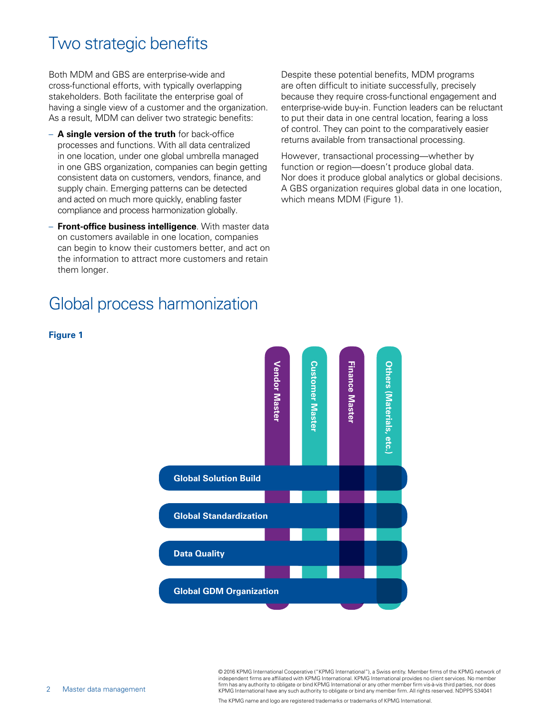### Two strategic benefits

Both MDM and GBS are enterprise-wide and cross-functional efforts, with typically overlapping stakeholders. Both facilitate the enterprise goal of having a single view of a customer and the organization. As a result, MDM can deliver two strategic benefits:

- **A single version of the truth** for back-office processes and functions. With all data centralized in one location, under one global umbrella managed in one GBS organization, companies can begin getting consistent data on customers, vendors, finance, and supply chain. Emerging patterns can be detected and acted on much more quickly, enabling faster compliance and process harmonization globally.
- **Front-office business intelligence**. With master data on customers available in one location, companies can begin to know their customers better, and act on the information to attract more customers and retain them longer.

### Global process harmonization

Despite these potential benefits, MDM programs are often difficult to initiate successfully, precisely because they require cross-functional engagement and enterprise-wide buy-in. Function leaders can be reluctant to put their data in one central location, fearing a loss of control. They can point to the comparatively easier returns available from transactional processing.

However, transactional processing—whether by function or region—doesn't produce global data. Nor does it produce global analytics or global decisions. A GBS organization requires global data in one location, which means MDM (Figure 1).



### **Figure 1**

© 2016 KPMG International Cooperative ("KPMG International"), a Swiss entity. Member firms of the KPMG network of independent firms are affiliated with KPMG International. KPMG International provides no client services. No member firm has any authority to obligate or bind KPMG International or any other member firm vis-à-vis third parties, nor does KPMG International have any such authority to obligate or bind any member firm. All rights reserved. NDPPS 534041

The KPMG name and logo are registered trademarks or trademarks of KPMG International.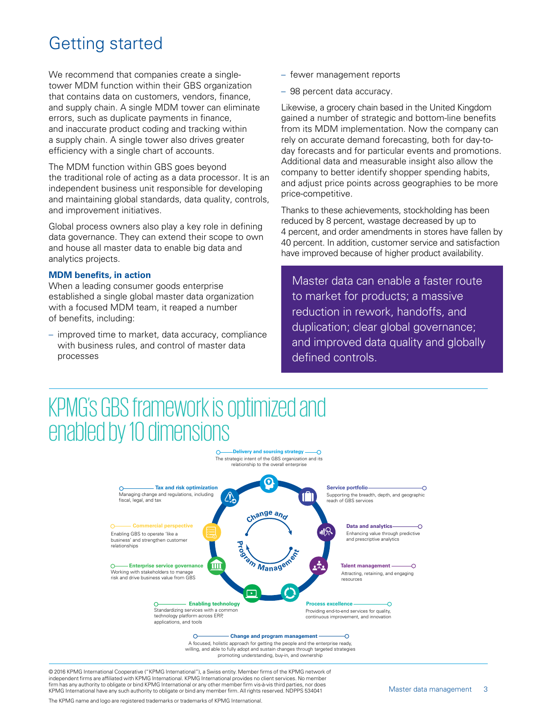### Getting started

We recommend that companies create a singletower MDM function within their GBS organization that contains data on customers, vendors, finance, and supply chain. A single MDM tower can eliminate errors, such as duplicate payments in finance, and inaccurate product coding and tracking within a supply chain. A single tower also drives greater efficiency with a single chart of accounts.

The MDM function within GBS goes beyond the traditional role of acting as a data processor. It is an independent business unit responsible for developing and maintaining global standards, data quality, controls, and improvement initiatives.

Global process owners also play a key role in defining data governance. They can extend their scope to own and house all master data to enable big data and analytics projects.

#### **MDM benefits, in action**

When a leading consumer goods enterprise established a single global master data organization with a focused MDM team, it reaped a number of benefits, including:

– improved time to market, data accuracy, compliance with business rules, and control of master data processes

- fewer management reports
- 98 percent data accuracy.

Likewise, a grocery chain based in the United Kingdom gained a number of strategic and bottom-line benefits from its MDM implementation. Now the company can rely on accurate demand forecasting, both for day-today forecasts and for particular events and promotions. Additional data and measurable insight also allow the company to better identify shopper spending habits, and adjust price points across geographies to be more price-competitive.

Thanks to these achievements, stockholding has been reduced by 8 percent, wastage decreased by up to 4 percent, and order amendments in stores have fallen by 40 percent. In addition, customer service and satisfaction have improved because of higher product availability.

Master data can enable a faster route to market for products; a massive reduction in rework, handoffs, and duplication; clear global governance; and improved data quality and globally defined controls.

### **Delivery and sourcing strategy** KPMG's GBS framework is optimized and enabled by 10 dimensions



willing, and able to fully adopt and sustain changes through targeted strategies promoting understanding, buy-in, and ownership

© 2016 KPMG International Cooperative ("KPMG International"), a Swiss entity. Member firms of the KPMG network of independent firms are affiliated with KPMG International. KPMG International provides no client services. No member firm has any authority to obligate or bind KPMG International or any other member firm vis-à-vis third parties, nor does KPMG International have any such authority to obligate or bind any member firm. All rights reserved. NDPPS 534041